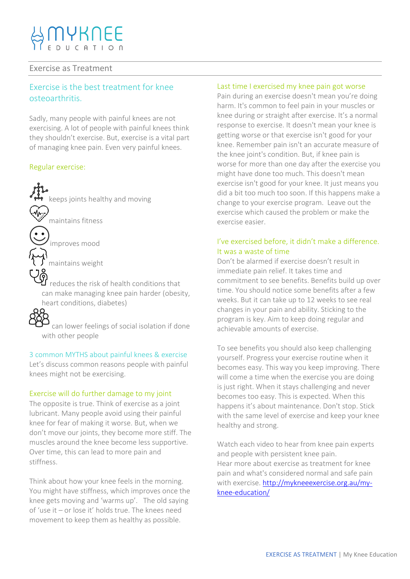## Exercise as Treatment

# Exercise is the best treatment for knee osteoarthritis.

Sadly, many people with painful knees are not exercising. A lot of people with painful knees think they shouldn't exercise. But, exercise is a vital part of managing knee pain. Even very painful knees.

#### Regular exercise:

keeps joints healthy and moving maintains fitness improves mood maintains weight reduces the risk of health conditions that can make managing knee pain harder (obesity, heart conditions, diabetes)  $\mathsf{S}_{\mathsf{can}}$  lower feelings of social isolation if done

with other people

3 common MYTHS about painful knees & exercise Let's discuss common reasons people with painful knees might not be exercising.

#### Exercise will do further damage to my joint

The opposite is true. Think of exercise as a joint lubricant. Many people avoid using their painful knee for fear of making it worse. But, when we don't move our joints, they become more stiff. The muscles around the knee become less supportive. Over time, this can lead to more pain and stiffness.

Think about how your knee feels in the morning. You might have stiffness, which improves once the knee gets moving and 'warms up'. The old saying of 'use it – or lose it' holds true. The knees need movement to keep them as healthy as possible.

#### Last time I exercised my knee pain got worse

Pain during an exercise doesn't mean you're doing harm. It's common to feel pain in your muscles or knee during or straight after exercise. It's a normal response to exercise. It doesn't mean your knee is getting worse or that exercise isn't good for your knee. Remember pain isn't an accurate measure of the knee joint's condition. But, if knee pain is worse for more than one day after the exercise you might have done too much. This doesn't mean exercise isn't good for your knee. It just means you did a bit too much too soon. If this happens make a change to your exercise program. Leave out the exercise which caused the problem or make the exercise easier.

## I've exercised before, it didn't make a difference. It was a waste of time

Don't be alarmed if exercise doesn't result in immediate pain relief. It takes time and commitment to see benefits. Benefits build up over time. You should notice some benefits after a few weeks. But it can take up to 12 weeks to see real changes in your pain and ability. Sticking to the program is key. Aim to keep doing regular and achievable amounts of exercise.

To see benefits you should also keep challenging yourself. Progress your exercise routine when it becomes easy. This way you keep improving. There will come a time when the exercise you are doing is just right. When it stays challenging and never becomes too easy. This is expected. When this happens it's about maintenance. Don't stop. Stick with the same level of exercise and keep your knee healthy and strong.

Watch each video to hear from knee pain experts and people with persistent knee pain. Hear more about exercise as treatment for knee pain and what's considered normal and safe pain with exercise. [http://mykneeexercise.org.au/my](http://mykneeexercise.org.au/my-knee-education/)[knee-education/](http://mykneeexercise.org.au/my-knee-education/)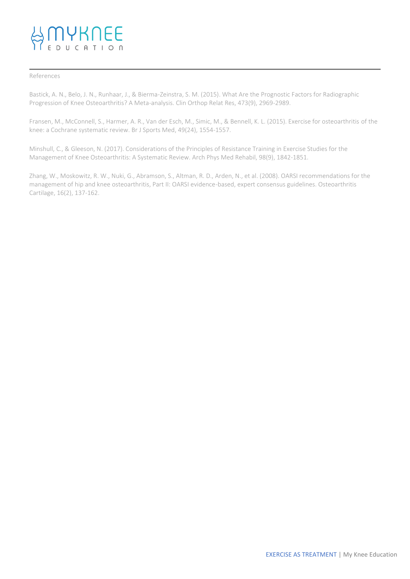#### References

Bastick, A. N., Belo, J. N., Runhaar, J., & Bierma-Zeinstra, S. M. (2015). What Are the Prognostic Factors for Radiographic Progression of Knee Osteoarthritis? A Meta-analysis. Clin Orthop Relat Res, 473(9), 2969-2989.

Fransen, M., McConnell, S., Harmer, A. R., Van der Esch, M., Simic, M., & Bennell, K. L. (2015). Exercise for osteoarthritis of the knee: a Cochrane systematic review. Br J Sports Med, 49(24), 1554-1557.

Minshull, C., & Gleeson, N. (2017). Considerations of the Principles of Resistance Training in Exercise Studies for the Management of Knee Osteoarthritis: A Systematic Review. Arch Phys Med Rehabil, 98(9), 1842-1851.

Zhang, W., Moskowitz, R. W., Nuki, G., Abramson, S., Altman, R. D., Arden, N., et al. (2008). OARSI recommendations for the management of hip and knee osteoarthritis, Part II: OARSI evidence-based, expert consensus guidelines. Osteoarthritis Cartilage, 16(2), 137-162.